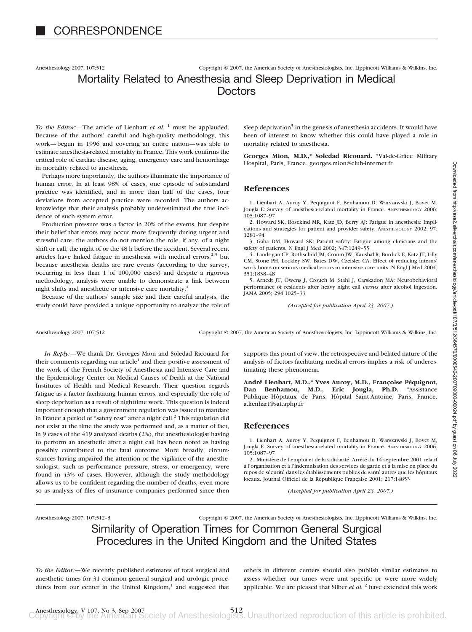Anesthesiology 2007; 107:512 Copyright © 2007, the American Society of Anesthesiologists, Inc. Lippincott Williams & Wilkins, Inc.

# Mortality Related to Anesthesia and Sleep Deprivation in Medical **Doctors**

*To the Editor:*—The article of Lienhart *et al.* <sup>1</sup> must be applauded. Because of the authors' careful and high-quality methodology, this work—begun in 1996 and covering an entire nation—was able to estimate anesthesia-related mortality in France. This work confirms the critical role of cardiac disease, aging, emergency care and hemorrhage in mortality related to anesthesia.

Perhaps more importantly, the authors illuminate the importance of human error. In at least 98% of cases, one episode of substandard practice was identified, and in more than half of the cases, four deviations from accepted practice were recorded. The authors acknowledge that their analysis probably underestimated the true incidence of such system error.

Production pressure was a factor in 20% of the events, but despite their belief that errors may occur more frequently during urgent and stressful care, the authors do not mention the role, if any, of a night shift or call, the night of or the 48 h before the accident. Several recent articles have linked fatigue in anesthesia with medical errors, $2.3$  but because anesthesia deaths are rare events (according to the survey, occurring in less than 1 of 100,000 cases) and despite a rigorous methodology, analysis were unable to demonstrate a link between night shifts and anesthetic or intensive care mortality.<sup>4</sup>

Because of the authors' sample size and their careful analysis, the study could have provided a unique opportunity to analyze the role of sleep deprivation<sup>5</sup> in the genesis of anesthesia accidents. It would have been of interest to know whether this could have played a role in mortality related to anesthesia.

Georges Mion, M.D.,\* Soledad Ricouard. \*Val-de-Grâce Military Hospital, Paris, France. georges.mion@club-internet.fr

## **References**

1. Lienhart A, Auroy Y, Pequignot F, Benhamou D, Warszawski J, Bovet M, Jougla E: Survey of anesthesia-related mortality in France. ANESTHESIOLOGY 2006; 105:1087–97

2. Howard SK, Rosekind MR, Katz JD, Berry AJ: Fatigue in anesthesia: Implications and strategies for patient and provider safety. ANESTHESIOLOGY 2002; 97: 1281–94

3. Gaba DM, Howard SK: Patient safety: Fatigue among clinicians and the safety of patients. N Engl J Med 2002; 347:1249–55

4. Landrigan CP, Rothschild JM, Cronin JW, Kaushal R, Burdick E, Katz JT, Lilly CM, Stone PH, Lockley SW, Bates DW, Czeisler CA: Effect of reducing interns' work hours on serious medical errors in intensive care units. N Engl J Med 2004; 351:1838–48

5. Arnedt JT, Owens J, Crouch M, Stahl J, Carskadon MA: Neurobehavioral performance of residents after heavy night call *versus* after alcohol ingestion. JAMA 2005; 294:1025–33

*(Accepted for publication April 23, 2007.)*

Anesthesiology 2007; 107:512 Copyright © 2007, the American Society of Anesthesiologists, Inc. Lippincott Williams & Wilkins, Inc.

*In Reply:—*We thank Dr. Georges Mion and Soledad Ricouard for their comments regarding our article<sup>1</sup> and their positive assessment of the work of the French Society of Anesthesia and Intensive Care and the Epidemiology Center on Medical Causes of Death at the National Institutes of Health and Medical Research. Their question regards fatigue as a factor facilitating human errors, and especially the role of sleep deprivation as a result of nighttime work. This question is indeed important enough that a government regulation was issued to mandate in France a period of "safety rest" after a night call.<sup>2</sup> This regulation did not exist at the time the study was performed and, as a matter of fact, in 9 cases of the 419 analyzed deaths (2%), the anesthesiologist having to perform an anesthetic after a night call has been noted as having possibly contributed to the fatal outcome. More broadly, circumstances having impaired the attention or the vigilance of the anesthesiologist, such as performance pressure, stress, or emergency, were found in 43% of cases. However, although the study methodology allows us to be confident regarding the number of deaths, even more so as analysis of files of insurance companies performed since then

supports this point of view, the retrospective and belated nature of the analysis of factors facilitating medical errors implies a risk of underestimating these phenomena.

André Lienhart, M.D.,\* Yves Auroy, M.D., Françoise Péquignot, **Dan Benhamou, M.D., Eric Jougla, Ph.D.** \*Assistance Publique-Hôpitaux de Paris, Hôpital Saint-Antoine, Paris, France. a.lienhart@sat.aphp.fr

## **References**

1. Lienhart A, Auroy Y, Pequignot F, Benhamou D, Warszawski J, Bovet M, Jougla E: Survey of anesthesia-related mortality in France. ANESTHESIOLOGY 2006; 105:1087–97

2. Ministère de l'emploi et de la solidarité: Arrêté du 14 septembre 2001 relatif à l'organisation et à l'indemnisation des services de garde et à la mise en place du repos de sécurité dans les établissements publics de santé autres que les hôpitaux locaux. Journal Officiel de la République Française 2001; 217:14853

*(Accepted for publication April 23, 2007.)*

Anesthesiology 2007; 107:512–3 Copyright © 2007, the American Society of Anesthesiologists, Inc. Lippincott Williams & Wilkins, Inc.

Similarity of Operation Times for Common General Surgical Procedures in the United Kingdom and the United States

*To the Editor:—*We recently published estimates of total surgical and anesthetic times for 31 common general surgical and urologic procedures from our center in the United Kingdom, $<sup>1</sup>$  and suggested that</sup> others in different centers should also publish similar estimates to assess whether our times were unit specific or were more widely applicable. We are pleased that Silber *et al.* <sup>2</sup> have extended this work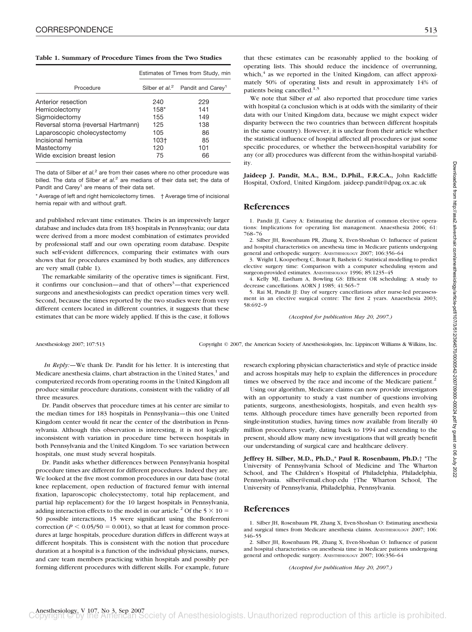#### **Table 1. Summary of Procedure Times from the Two Studies**

|                                    | Estimates of Times from Study, min |                                                 |
|------------------------------------|------------------------------------|-------------------------------------------------|
| Procedure                          |                                    | Silber et $al.^2$ Pandit and Carey <sup>1</sup> |
| Anterior resection                 | 240                                | 229                                             |
| Hemicolectomy                      | $158*$                             | 141                                             |
| Sigmoidectomy                      | 155                                | 149                                             |
| Reversal stoma (reversal Hartmann) | 125                                | 138                                             |
| Laparoscopic cholecystectomy       | 105                                | 86                                              |
| Incisional hernia                  | 103†                               | 85                                              |
| Mastectomy                         | 120                                | 101                                             |
| Wide excision breast lesion        | 75                                 | 66                                              |

The data of Silber *et al.<sup>2</sup>* are from their cases where no other procedure was billed. The data of Silber *et al.<sup>2</sup>* are medians of their data set; the data of Pandit and Carey<sup>1</sup> are means of their data set.

\* Average of left and right hemicolectomy times. † Average time of incisional hernia repair with and without graft.

and published relevant time estimates. Theirs is an impressively larger database and includes data from 183 hospitals in Pennsylvania; our data were derived from a more modest combination of estimates provided by professional staff and our own operating room database. Despite such self-evident differences, comparing their estimates with ours shows that for procedures examined by both studies, any differences are very small (table 1).

The remarkable similarity of the operative times is significant. First, it confirms our conclusion—and that of others<sup>3</sup>—that experienced surgeons and anesthesiologists can predict operation times very well. Second, because the times reported by the two studies were from very different centers located in different countries, it suggests that these estimates that can be more widely applied. If this is the case, it follows

with hospital (a conclusion which is at odds with the similarity of their data with our United Kingdom data, because we might expect wider disparity between the two countries than between different hospitals in the same country). However, it is unclear from their article whether the statistical influence of hospital affected all procedures or just some specific procedures, or whether the between-hospital variability for any (or all) procedures was different from the within-hospital variability.

**Jaideep J. Pandit, M.A., B.M., D.Phil., F.R.C.A.,** John Radcliffe Hospital, Oxford, United Kingdom. jaideep.pandit@dpag.ox.ac.uk

# **References**

1. Pandit JJ, Carey A: Estimating the duration of common elective operations: Implications for operating list management. Anaesthesia 2006; 61: 768–76

2. Silber JH, Rosenbaum PR, Zhang X, Even-Shoshan O: Influence of patient and hospital characteristics on anesthesia time in Medicare patients undergoing general and orthopedic surgery. ANESTHESIOLOGY 2007; 106:356–64

3. Wright I, Kooperberg C, Bonar B, Bashein G: Statistical modelling to predict elective surgery time: Comparison with a computer scheduling system and surgeon-provided estimates. ANESTHESIOLOGY 1996; 85:1235–45

4. Kelly MJ, Eastham A, Bowling GS: Efficient OR scheduling: A study to decrease cancellations. AORN J 1985; 41:565–7

5. Rai M, Pandit JJ: Day of surgery cancellations after nurse-led preassessment in an elective surgical centre: The first 2 years. Anaesthesia 2003; 58:692–9

*(Accepted for publication May 20, 2007.)*

Anesthesiology 2007; 107:513 Copyright © 2007, the American Society of Anesthesiologists, Inc. Lippincott Williams & Wilkins, Inc.

*In Reply:—*We thank Dr. Pandit for his letter. It is interesting that Medicare anesthesia claims, chart abstraction in the United States, $<sup>1</sup>$  and</sup> computerized records from operating rooms in the United Kingdom all produce similar procedure durations, consistent with the validity of all three measures.

Dr. Pandit observes that procedure times at his center are similar to the median times for 183 hospitals in Pennsylvania—this one United Kingdom center would fit near the center of the distribution in Pennsylvania. Although this observation is interesting, it is not logically inconsistent with variation in procedure time between hospitals in both Pennsylvania and the United Kingdom. To see variation between hospitals, one must study several hospitals.

Dr. Pandit asks whether differences between Pennsylvania hospital procedure times are different for different procedures. Indeed they are. We looked at the five most common procedures in our data base (total knee replacement, open reduction of fractured femur with internal fixation, laparoscopic cholecystectomy, total hip replacement, and partial hip replacement) for the 10 largest hospitals in Pennsylvania, adding interaction effects to the model in our article.<sup>2</sup> Of the  $5 \times 10 =$ 50 possible interactions, 15 were significant using the Bonferroni correction ( $P \le 0.05/50 = 0.001$ ), so that at least for common procedures at large hospitals, procedure duration differs in different ways at different hospitals. This is consistent with the notion that procedure duration at a hospital is a function of the individual physicians, nurses, and care team members practicing within hospitals and possibly performing different procedures with different skills. For example, future

research exploring physician characteristics and style of practice inside and across hospitals may help to explain the differences in procedure times we observed by the race and income of the Medicare patient.<sup>2</sup>

Using our algorithm, Medicare claims can now provide investigators with an opportunity to study a vast number of questions involving patients, surgeons, anesthesiologists, hospitals, and even health systems. Although procedure times have generally been reported from single-institution studies, having times now available from literally 40 million procedures yearly, dating back to 1994 and extending to the present, should allow many new investigations that will greatly benefit our understanding of surgical care and healthcare delivery.

**Jeffrey H. Silber, M.D., Ph.D.,\* Paul R. Rosenbaum, Ph.D.**† \*The University of Pennsylvania School of Medicine and The Wharton School, and The Children's Hospital of Philadelphia, Philadelphia, Pennsylvania. silber@email.chop.edu †The Wharton School, The University of Pennsylvania, Philadelphia, Pennsylvania.

## **References**

1. Silber JH, Rosenbaum PR, Zhang X, Even-Shoshan O: Estimating anesthesia and surgical times from Medicare anesthesia claims. ANESTHESIOLOGY 2007; 106: 346–55

2. Silber JH, Rosenbaum PR, Zhang X, Even-Shoshan O: Influence of patient and hospital characteristics on anesthesia time in Medicare patients undergoing general and orthopedic surgery. ANESTHESIOLOGY 2007; 106:356–64

*(Accepted for publication May 20, 2007.)*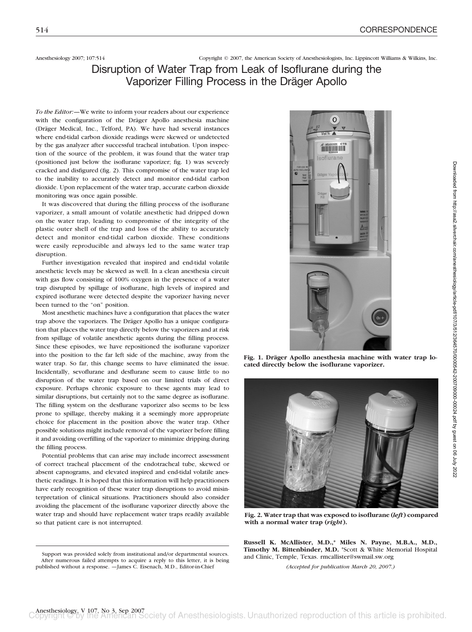Anesthesiology 2007; 107:514 Copyright © 2007, the American Society of Anesthesiologists, Inc. Lippincott Williams & Wilkins, Inc.

# Disruption of Water Trap from Leak of Isoflurane during the Vaporizer Filling Process in the Dräger Apollo

*To the Editor:—*We write to inform your readers about our experience with the configuration of the Dräger Apollo anesthesia machine (Dräger Medical, Inc., Telford, PA). We have had several instances where end-tidal carbon dioxide readings were skewed or undetected by the gas analyzer after successful tracheal intubation. Upon inspection of the source of the problem, it was found that the water trap (positioned just below the isoflurane vaporizer; fig. 1) was severely cracked and disfigured (fig. 2). This compromise of the water trap led to the inability to accurately detect and monitor end-tidal carbon dioxide. Upon replacement of the water trap, accurate carbon dioxide monitoring was once again possible.

It was discovered that during the filling process of the isoflurane vaporizer, a small amount of volatile anesthetic had dripped down on the water trap, leading to compromise of the integrity of the plastic outer shell of the trap and loss of the ability to accurately detect and monitor end-tidal carbon dioxide. These conditions were easily reproducible and always led to the same water trap disruption.

Further investigation revealed that inspired and end-tidal volatile anesthetic levels may be skewed as well. In a clean anesthesia circuit with gas flow consisting of 100% oxygen in the presence of a water trap disrupted by spillage of isoflurane, high levels of inspired and expired isoflurane were detected despite the vaporizer having never been turned to the "on" position.

Most anesthetic machines have a configuration that places the water trap above the vaporizers. The Dräger Apollo has a unique configuration that places the water trap directly below the vaporizers and at risk from spillage of volatile anesthetic agents during the filling process. Since these episodes, we have repositioned the isoflurane vaporizer into the position to the far left side of the machine, away from the water trap. So far, this change seems to have eliminated the issue. Incidentally, sevoflurane and desflurane seem to cause little to no disruption of the water trap based on our limited trials of direct exposure. Perhaps chronic exposure to these agents may lead to similar disruptions, but certainly not to the same degree as isoflurane. The filling system on the desflurane vaporizer also seems to be less prone to spillage, thereby making it a seemingly more appropriate choice for placement in the position above the water trap. Other possible solutions might include removal of the vaporizer before filling it and avoiding overfilling of the vaporizer to minimize dripping during the filling process.

Potential problems that can arise may include incorrect assessment of correct tracheal placement of the endotracheal tube, skewed or absent capnograms, and elevated inspired and end-tidal volatile anesthetic readings. It is hoped that this information will help practitioners have early recognition of these water trap disruptions to avoid misinterpretation of clinical situations. Practitioners should also consider avoiding the placement of the isoflurane vaporizer directly above the water trap and should have replacement water traps readily available so that patient care is not interrupted.

Support was provided solely from institutional and/or departmental sources. After numerous failed attempts to acquire a reply to this letter, it is being published without a response. —James C. Eisenach, M.D., Editor-in-Chief



Fig. 1. Dräger Apollo anesthesia machine with water trap lo**cated directly below the isoflurane vaporizer.**



**Fig. 2. Water trap that was exposed to isoflurane (***left***) compared with a normal water trap (***right***).**

**Russell K. McAllister, M.D.,\* Miles N. Payne, M.B.A., M.D., Timothy M. Bittenbinder, M.D.** \*Scott & White Memorial Hospital and Clinic, Temple, Texas. rmcallister@swmail.sw.org

*(Accepted for publication March 20, 2007.)*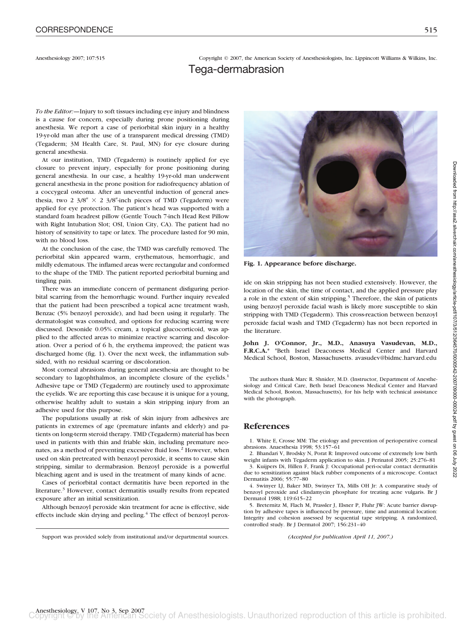Anesthesiology 2007; 107:515 Copyright © 2007, the American Society of Anesthesiologists, Inc. Lippincott Williams & Wilkins, Inc.

# Tega-dermabrasion

*To the Editor:—*Injury to soft tissues including eye injury and blindness is a cause for concern, especially during prone positioning during anesthesia. We report a case of periorbital skin injury in a healthy 19-yr-old man after the use of a transparent medical dressing (TMD) (Tegaderm; 3M Health Care, St. Paul, MN) for eye closure during general anesthesia.

At our institution, TMD (Tegaderm) is routinely applied for eye closure to prevent injury, especially for prone positioning during general anesthesia. In our case, a healthy 19-yr-old man underwent general anesthesia in the prone position for radiofrequency ablation of a coccygeal osteoma. After an uneventful induction of general anesthesia, two 2  $3/8'' \times 2$  3/8"-inch pieces of TMD (Tegaderm) were applied for eye protection. The patient's head was supported with a standard foam headrest pillow (Gentle Touch 7-inch Head Rest Pillow with Right Intubation Slot; OSI, Union City, CA). The patient had no history of sensitivity to tape or latex. The procedure lasted for 90 min, with no blood loss.

At the conclusion of the case, the TMD was carefully removed. The periorbital skin appeared warm, erythematous, hemorrhagic, and mildly edematous. The inflamed areas were rectangular and conformed to the shape of the TMD. The patient reported periorbital burning and tingling pain.

There was an immediate concern of permanent disfiguring periorbital scarring from the hemorrhagic wound. Further inquiry revealed that the patient had been prescribed a topical acne treatment wash, Benzac (5% benzoyl peroxide), and had been using it regularly. The dermatologist was consulted, and options for reducing scarring were discussed. Desonide 0.05% cream, a topical glucocorticoid, was applied to the affected areas to minimize reactive scarring and discoloration. Over a period of 6 h, the erythema improved; the patient was discharged home (fig. 1). Over the next week, the inflammation subsided, with no residual scarring or discoloration.

Most corneal abrasions during general anesthesia are thought to be secondary to lagophthalmos, an incomplete closure of the eyelids.<sup>1</sup> Adhesive tape or TMD (Tegaderm) are routinely used to approximate the eyelids. We are reporting this case because it is unique for a young, otherwise healthy adult to sustain a skin stripping injury from an adhesive used for this purpose.

The populations usually at risk of skin injury from adhesives are patients in extremes of age (premature infants and elderly) and patients on long-term steroid therapy. TMD (Tegaderm) material has been used in patients with thin and friable skin, including premature neonates, as a method of preventing excessive fluid loss.<sup>2</sup> However, when used on skin pretreated with benzoyl peroxide, it seems to cause skin stripping, similar to dermabrasion. Benzoyl peroxide is a powerful bleaching agent and is used in the treatment of many kinds of acne.

Cases of periorbital contact dermatitis have been reported in the literature.3 However, contact dermatitis usually results from repeated exposure after an initial sensitization.

Although benzoyl peroxide skin treatment for acne is effective, side effects include skin drying and peeling.<sup>4</sup> The effect of benzoyl perox-



**Fig. 1. Appearance before discharge.**

**John J. O'Connor, Jr., M.D., Anasuya Vasudevan, M.D., F.R.C.A.\*** \*Beth Israel Deaconess Medical Center and Harvard Medical School, Boston, Massachusetts. avasudev@bidmc.harvard.edu

The authors thank Marc R. Shnider, M.D. (Instructor, Department of Anesthesiology and Critical Care, Beth Israel Deaconess Medical Center and Harvard Medical School, Boston, Massachusetts), for his help with technical assistance with the photograph.

# **References**

1. White E, Crosse MM: The etiology and prevention of perioperative corneal abrasions. Anaesthesia 1998; 53:157–61

2. Bhandari V, Brodsky N, Porat R: Improved outcome of extremely low birth weight infants with Tegaderm application to skin. J Perinatol 2005: 25:276-81 3. Kuijpers Di, Hillen F, Frank J: Occupational peri-ocular contact dermatitis

due to sensitization against black rubber components of a microscope. Contact Dermatitis 2006; 55:77–80

4. Swinyer LJ, Baker MD, Swinyer TA, Mills OH Jr: A comparative study of benzoyl peroxide and clindamycin phosphate for treating acne vulgaris. Br J Dermatol 1988; 119:615–22

5. Breternitz M, Flach M, Prassler J, Elsner P, Fluhr JW: Acute barrier disruption by adhesive tapes is influenced by pressure, time and anatomical location: Integrity and cohesion assessed by sequential tape stripping. A randomized, controlled study. Br J Dermatol 2007; 156:231–40

Support was provided solely from institutional and/or departmental sources. *(Accepted for publication April 11, 2007.)*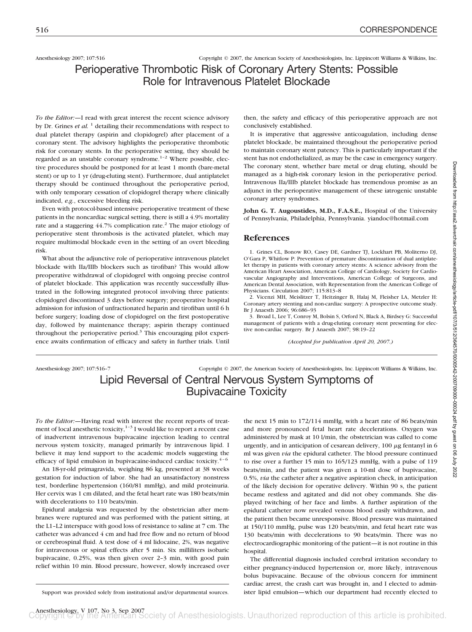Anesthesiology 2007; 107:516 Copyright © 2007, the American Society of Anesthesiologists, Inc. Lippincott Williams & Wilkins, Inc.

Perioperative Thrombotic Risk of Coronary Artery Stents: Possible Role for Intravenous Platelet Blockade

*To the Editor:—*I read with great interest the recent science advisory by Dr. Grines *et al.* <sup>1</sup> detailing their recommendations with respect to dual platelet therapy (aspirin and clopidogrel) after placement of a coronary stent. The advisory highlights the perioperative thrombotic risk for coronary stents. In the perioperative setting, they should be regarded as an unstable coronary syndrome.<sup>1-2</sup> Where possible, elective procedures should be postponed for at least 1 month (bare-metal stent) or up to 1 yr (drug-eluting stent). Furthermore, dual antiplatelet therapy should be continued throughout the perioperative period, with only temporary cessation of clopidogrel therapy where clinically indicated, *e.g.*, excessive bleeding risk.

Even with protocol-based intensive perioperative treatment of these patients in the noncardiac surgical setting, there is still a 4.9% mortality rate and a staggering  $44.7\%$  complication rate.<sup>2</sup> The major etiology of perioperative stent thrombosis is the activated platelet, which may require multimodal blockade even in the setting of an overt bleeding risk.

What about the adjunctive role of perioperative intravenous platelet blockade with IIa/IIIb blockers such as tirofiban? This would allow preoperative withdrawal of clopidogrel with ongoing precise control of platelet blockade. This application was recently successfully illustrated in the following integrated protocol involving three patients: clopidogrel discontinued 3 days before surgery; preoperative hospital admission for infusion of unfractionated heparin and tirofiban until 6 h before surgery; loading dose of clopidogrel on the first postoperative day, followed by maintenance therapy; aspirin therapy continued throughout the perioperative period. $3$  This encouraging pilot experience awaits confirmation of efficacy and safety in further trials. Until then, the safety and efficacy of this perioperative approach are not conclusively established.

It is imperative that aggressive anticoagulation, including dense platelet blockade, be maintained throughout the perioperative period to maintain coronary stent patency. This is particularly important if the stent has not endothelialized, as may be the case in emergency surgery. The coronary stent, whether bare metal or drug eluting, should be managed as a high-risk coronary lesion in the perioperative period. Intravenous IIa/IIIb platelet blockade has tremendous promise as an adjunct in the perioperative management of these iatrogenic unstable coronary artery syndromes.

**John G. T. Augoustides, M.D., F.A.S.E.,** Hospital of the University of Pennsylvania, Philadelphia, Pennsylvania. yiandoc@hotmail.com

### **References**

1. Grines CL, Bonow RO, Casey DE, Gardner TJ, Lockhart PB, Moliterno DJ, O'Gara P, Whitlow P: Prevention of premature discontinuation of dual antiplatelet therapy in patients with coronary artery stents: A science advisory from the American Heart Association, American College of Cardiology, Society for Cardiovascular Angiography and Interventions, American College of Surgeons, and American Dental Association, with Representation from the American College of Physicians. Circulation 2007; 115:813–8

2. Vicenzi MH, Meislitzer T, Heitzinger B, Halaj M, Fleisher LA, Metzler H: Coronary artery stenting and non-cardiac surgery: A prospective outcome study. Br J Anaesth 2006; 96:686–93

3. Broad L, Lee T, Conroy M, Bolsin S, Orford N, Black A, Birdsey G: Successful management of patients with a drug-eluting coronary stent presenting for elective non-cardiac surgery. Br J Anaesth 2007; 98:19–22

*(Accepted for publication April 20, 2007.)*

Anesthesiology 2007; 107:516–7 Copyright © 2007, the American Society of Anesthesiologists, Inc. Lippincott Williams & Wilkins, Inc. Lipid Reversal of Central Nervous System Symptoms of Bupivacaine Toxicity

*To the Editor:—*Having read with interest the recent reports of treatment of local anesthetic toxicity, $1-3$  I would like to report a recent case of inadvertent intravenous bupivacaine injection leading to central nervous system toxicity, managed primarily by intravenous lipid. I believe it may lend support to the academic models suggesting the efficacy of lipid emulsion in bupivacaine-induced cardiac toxicity.<sup>4-6</sup>

An 18-yr-old primagravida, weighing 86 kg, presented at 38 weeks gestation for induction of labor. She had an unsatisfactory nonstress test, borderline hypertension (160/81 mmHg), and mild proteinuria. Her cervix was 1 cm dilated, and the fetal heart rate was 180 beats/min with decelerations to 110 beats/min.

Epidural analgesia was requested by the obstetrician after membranes were ruptured and was performed with the patient sitting, at the L1–L2 interspace with good loss of resistance to saline at 7 cm. The catheter was advanced 4 cm and had free flow and no return of blood or cerebrospinal fluid. A test dose of 4 ml lidocaine, 2%, was negative for intravenous or spinal effects after 5 min. Six milliliters isobaric bupivacaine, 0.25%, was then given over 2–3 min, with good pain relief within 10 min. Blood pressure, however, slowly increased over

the next 15 min to 172/114 mmHg, with a heart rate of 86 beats/min and more pronounced fetal heart rate decelerations. Oxygen was administered by mask at 10 l/min, the obstetrician was called to come urgently, and in anticipation of cesarean delivery,  $100 \mu$ g fentanyl in 6 ml was given *via* the epidural catheter. The blood pressure continued to rise over a further 15 min to 165/123 mmHg, with a pulse of 119 beats/min, and the patient was given a 10-ml dose of bupivacaine, 0.5%, *via* the catheter after a negative aspiration check, in anticipation of the likely decision for operative delivery. Within 90 s, the patient became restless and agitated and did not obey commands. She displayed twitching of her face and limbs. A further aspiration of the epidural catheter now revealed venous blood easily withdrawn, and the patient then became unresponsive. Blood pressure was maintained at 150/110 mmHg, pulse was 120 beats/min, and fetal heart rate was 130 beats/min with decelerations to 90 beats/min. There was no electrocardiographic monitoring of the patient—it is not routine in this hospital.

The differential diagnosis included cerebral irritation secondary to either pregnancy-induced hypertension or, more likely, intravenous bolus bupivacaine. Because of the obvious concern for imminent cardiac arrest, the crash cart was brought in, and I elected to admin-Support was provided solely from institutional and/or departmental sources. ister lipid emulsion—which our department had recently elected to